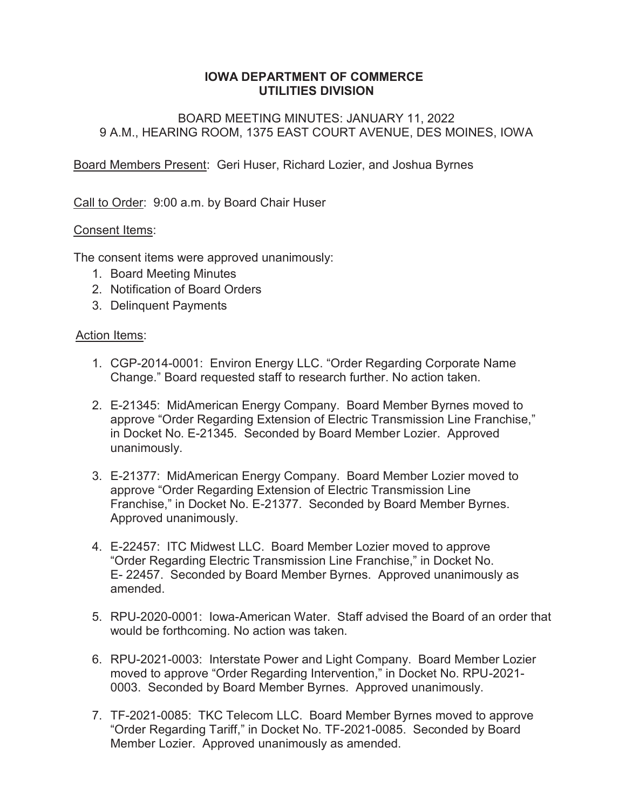### **IOWA DEPARTMENT OF COMMERCE UTILITIES DIVISION**

## BOARD MEETING MINUTES: JANUARY 11, 2022 9 A.M., HEARING ROOM, 1375 EAST COURT AVENUE, DES MOINES, IOWA

Board Members Present: Geri Huser, Richard Lozier, and Joshua Byrnes

Call to Order: 9:00 a.m. by Board Chair Huser

### Consent Items:

The consent items were approved unanimously:

- 1. Board Meeting Minutes
- 2. Notification of Board Orders
- 3. Delinquent Payments

### Action Items:

- 1. CGP-2014-0001: Environ Energy LLC. "Order Regarding Corporate Name Change." Board requested staff to research further. No action taken.
- 2. E-21345: MidAmerican Energy Company. Board Member Byrnes moved to approve "Order Regarding Extension of Electric Transmission Line Franchise," in Docket No. E-21345. Seconded by Board Member Lozier. Approved unanimously.
- 3. E-21377: MidAmerican Energy Company. Board Member Lozier moved to approve "Order Regarding Extension of Electric Transmission Line Franchise," in Docket No. E-21377. Seconded by Board Member Byrnes. Approved unanimously.
- 4. E-22457: ITC Midwest LLC. Board Member Lozier moved to approve "Order Regarding Electric Transmission Line Franchise," in Docket No. E- 22457. Seconded by Board Member Byrnes. Approved unanimously as amended.
- 5. RPU-2020-0001: Iowa-American Water. Staff advised the Board of an order that would be forthcoming. No action was taken.
- 6. RPU-2021-0003: Interstate Power and Light Company. Board Member Lozier moved to approve "Order Regarding Intervention," in Docket No. RPU-2021- 0003. Seconded by Board Member Byrnes. Approved unanimously.
- 7. TF-2021-0085: TKC Telecom LLC. Board Member Byrnes moved to approve "Order Regarding Tariff," in Docket No. TF-2021-0085. Seconded by Board Member Lozier. Approved unanimously as amended.